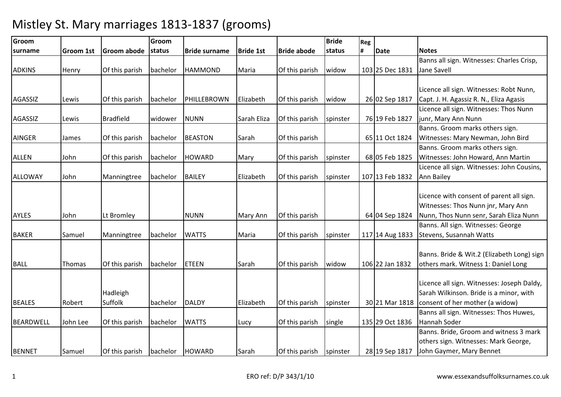| Groom            |                  |                  | Groom    |                      |                  |                    | <b>Bride</b> | Reg |                 |                                            |
|------------------|------------------|------------------|----------|----------------------|------------------|--------------------|--------------|-----|-----------------|--------------------------------------------|
| <b>Isurname</b>  | <b>Groom 1st</b> | Groom abode      | status   | <b>Bride surname</b> | <b>Bride 1st</b> | <b>Bride abode</b> | status       | #   | <b>Date</b>     | <b>Notes</b>                               |
|                  |                  |                  |          |                      |                  |                    |              |     |                 | Banns all sign. Witnesses: Charles Crisp,  |
| <b>ADKINS</b>    | Henry            | Of this parish   | bachelor | <b>HAMMOND</b>       | Maria            | Of this parish     | widow        |     | 103 25 Dec 1831 | Jane Savell                                |
|                  |                  |                  |          |                      |                  |                    |              |     |                 |                                            |
|                  |                  |                  |          |                      |                  |                    |              |     |                 | Licence all sign. Witnesses: Robt Nunn,    |
| <b>AGASSIZ</b>   | Lewis            | Of this parish   | bachelor | PHILLEBROWN          | Elizabeth        | Of this parish     | widow        |     | 26 02 Sep 1817  | Capt. J. H. Agassiz R. N., Eliza Agasis    |
|                  |                  |                  |          |                      |                  |                    |              |     |                 | Licence all sign. Witnesses: Thos Nunn     |
| <b>AGASSIZ</b>   | Lewis            | <b>Bradfield</b> | widower  | <b>NUNN</b>          | Sarah Eliza      | Of this parish     | spinster     |     | 76 19 Feb 1827  | junr, Mary Ann Nunn                        |
|                  |                  |                  |          |                      |                  |                    |              |     |                 | Banns. Groom marks others sign.            |
| AINGER           | James            | Of this parish   | bachelor | <b>BEASTON</b>       | Sarah            | Of this parish     |              |     | 65 11 Oct 1824  | Witnesses: Mary Newman, John Bird          |
|                  |                  |                  |          |                      |                  |                    |              |     |                 | Banns. Groom marks others sign.            |
| <b>ALLEN</b>     | John             | Of this parish   | bachelor | <b>HOWARD</b>        | Mary             | Of this parish     | spinster     |     | 68 05 Feb 1825  | Witnesses: John Howard, Ann Martin         |
|                  |                  |                  |          |                      |                  |                    |              |     |                 | Licence all sign. Witnesses: John Cousins, |
| ALLOWAY          | John             | Manningtree      | bachelor | <b>BAILEY</b>        | Elizabeth        | Of this parish     | spinster     |     | 107 13 Feb 1832 | <b>Ann Bailey</b>                          |
|                  |                  |                  |          |                      |                  |                    |              |     |                 |                                            |
|                  |                  |                  |          |                      |                  |                    |              |     |                 | Licence with consent of parent all sign.   |
|                  |                  |                  |          |                      |                  |                    |              |     |                 | Witnesses: Thos Nunn jnr, Mary Ann         |
| <b>AYLES</b>     | John             | Lt Bromley       |          | <b>NUNN</b>          | Mary Ann         | Of this parish     |              |     | 64 04 Sep 1824  | Nunn, Thos Nunn senr, Sarah Eliza Nunn     |
|                  |                  |                  |          |                      |                  |                    |              |     |                 | Banns. All sign. Witnesses: George         |
| <b>BAKER</b>     | Samuel           | Manningtree      | bachelor | <b>WATTS</b>         | Maria            | Of this parish     | spinster     |     | 117 14 Aug 1833 | Stevens, Susannah Watts                    |
|                  |                  |                  |          |                      |                  |                    |              |     |                 |                                            |
|                  |                  |                  |          |                      |                  |                    |              |     |                 | Banns. Bride & Wit.2 (Elizabeth Long) sign |
| <b>BALL</b>      | Thomas           | Of this parish   | bachelor | <b>ETEEN</b>         | Sarah            | Of this parish     | widow        |     | 106 22 Jan 1832 | others mark. Witness 1: Daniel Long        |
|                  |                  |                  |          |                      |                  |                    |              |     |                 |                                            |
|                  |                  |                  |          |                      |                  |                    |              |     |                 | Licence all sign. Witnesses: Joseph Daldy, |
|                  |                  | Hadleigh         |          |                      |                  |                    |              |     |                 | Sarah Wilkinson. Bride is a minor, with    |
| <b>BEALES</b>    | Robert           | Suffolk          | bachelor | <b>DALDY</b>         | Elizabeth        | Of this parish     | spinster     |     | 30 21 Mar 1818  | consent of her mother (a widow)            |
|                  |                  |                  |          |                      |                  |                    |              |     |                 | Banns all sign. Witnesses: Thos Huwes,     |
| <b>BEARDWELL</b> | John Lee         | Of this parish   | bachelor | <b>WATTS</b>         | Lucy             | Of this parish     | single       |     | 135 29 Oct 1836 | Hannah Soder                               |
|                  |                  |                  |          |                      |                  |                    |              |     |                 | Banns. Bride, Groom and witness 3 mark     |
|                  |                  |                  |          |                      |                  |                    |              |     |                 | others sign. Witnesses: Mark George,       |
| <b>BENNET</b>    | Samuel           | Of this parish   | bachelor | <b>HOWARD</b>        | Sarah            | Of this parish     | spinster     |     | 28 19 Sep 1817  | John Gaymer, Mary Bennet                   |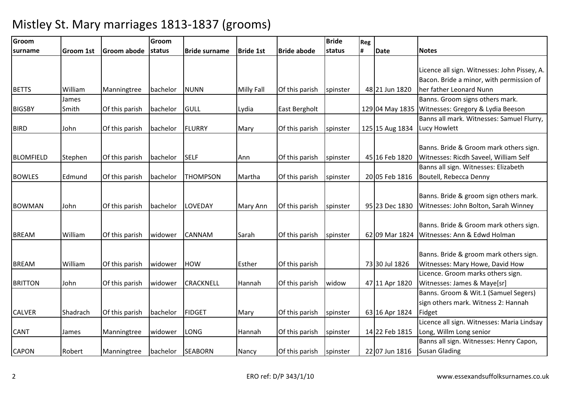| Groom            |                  |                | Groom    |                      |                   |                    | <b>Bride</b> | Reg |                 |                                                                                                                     |
|------------------|------------------|----------------|----------|----------------------|-------------------|--------------------|--------------|-----|-----------------|---------------------------------------------------------------------------------------------------------------------|
| <b>Isurname</b>  | <b>Groom 1st</b> | Groom abode    | status   | <b>Bride surname</b> | <b>Bride 1st</b>  | <b>Bride abode</b> | status       | #   | <b>Date</b>     | <b>Notes</b>                                                                                                        |
| <b>BETTS</b>     | William          | Manningtree    | bachelor | <b>NUNN</b>          | <b>Milly Fall</b> | Of this parish     | spinster     |     | 48 21 Jun 1820  | Licence all sign. Witnesses: John Pissey, A.<br>Bacon. Bride a minor, with permission of<br>her father Leonard Nunn |
|                  | James            |                |          |                      |                   |                    |              |     |                 | Banns. Groom signs others mark.                                                                                     |
| <b>BIGSBY</b>    | Smith            | Of this parish | bachelor | GULL                 | Lydia             | East Bergholt      |              |     |                 | 129 04 May 1835   Witnesses: Gregory & Lydia Beeson                                                                 |
| <b>BIRD</b>      | John             | Of this parish | bachelor | <b>FLURRY</b>        | Mary              | Of this parish     | spinster     |     | 125 15 Aug 1834 | Banns all mark. Witnesses: Samuel Flurry,<br>Lucy Howlett                                                           |
| <b>BLOMFIELD</b> | Stephen          | Of this parish | bachelor | <b>SELF</b>          | Ann               | Of this parish     | spinster     |     | 45 16 Feb 1820  | Banns. Bride & Groom mark others sign.<br>Witnesses: Ricdh Saveel, William Self                                     |
| <b>BOWLES</b>    | Edmund           | Of this parish | bachelor | <b>THOMPSON</b>      | Martha            | Of this parish     | spinster     |     | 20 05 Feb 1816  | Banns all sign. Witnesses: Elizabeth<br>Boutell, Rebecca Denny                                                      |
| <b>BOWMAN</b>    | John             | Of this parish | bachelor | LOVEDAY              | Mary Ann          | Of this parish     | spinster     |     | 95 23 Dec 1830  | Banns. Bride & groom sign others mark.<br>Witnesses: John Bolton, Sarah Winney                                      |
| <b>BREAM</b>     | William          | Of this parish | widower  | <b>CANNAM</b>        | Sarah             | Of this parish     | spinster     |     | 62 09 Mar 1824  | Banns. Bride & Groom mark others sign.<br>Witnesses: Ann & Edwd Holman                                              |
| <b>BREAM</b>     | William          | Of this parish | widower  | <b>HOW</b>           | Esther            | Of this parish     |              |     | 73 30 Jul 1826  | Banns. Bride & groom mark others sign.<br>Witnesses: Mary Howe, David How                                           |
| <b>BRITTON</b>   | John             | Of this parish | widower  | <b>CRACKNELL</b>     | Hannah            | Of this parish     | widow        |     | 47 11 Apr 1820  | Licence. Groom marks others sign.<br>Witnesses: James & Maye[sr]                                                    |
| <b>CALVER</b>    | Shadrach         | Of this parish | bachelor | <b>FIDGET</b>        | Mary              | Of this parish     | spinster     |     | 63 16 Apr 1824  | Banns. Groom & Wit.1 (Samuel Segers)<br>sign others mark. Witness 2: Hannah<br>Fidget                               |
| <b>CANT</b>      | James            | Manningtree    | widower  | <b>LONG</b>          | Hannah            | Of this parish     | spinster     |     | 14 22 Feb 1815  | Licence all sign. Witnesses: Maria Lindsay<br>Long, Willm Long senior                                               |
| <b>CAPON</b>     | Robert           | Manningtree    | bachelor | <b>SEABORN</b>       | Nancy             | Of this parish     | spinster     |     | 22 07 Jun 1816  | Banns all sign. Witnesses: Henry Capon,<br><b>Susan Glading</b>                                                     |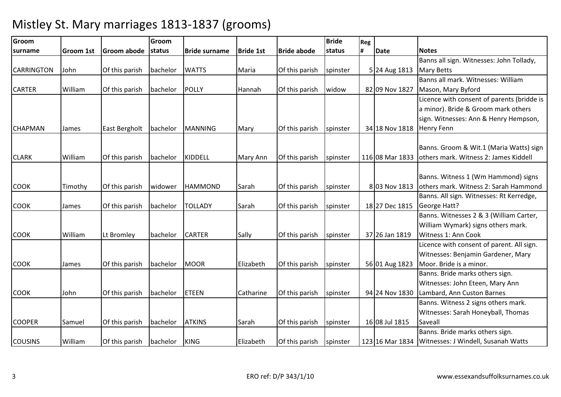| Groom             |                  |                    | Groom    |                      |                  |                    | <b>Bride</b> | Reg |                 |                                                       |
|-------------------|------------------|--------------------|----------|----------------------|------------------|--------------------|--------------|-----|-----------------|-------------------------------------------------------|
| surname           | <b>Groom 1st</b> | <b>Groom abode</b> | status   | <b>Bride surname</b> | <b>Bride 1st</b> | <b>Bride abode</b> | status       | #   | <b>Date</b>     | <b>Notes</b>                                          |
|                   |                  |                    |          |                      |                  |                    |              |     |                 | Banns all sign. Witnesses: John Tollady,              |
| <b>CARRINGTON</b> | John             | Of this parish     | bachelor | <b>WATTS</b>         | Maria            | Of this parish     | spinster     |     | 5 24 Aug 1813   | <b>Mary Betts</b>                                     |
|                   |                  |                    |          |                      |                  |                    |              |     |                 | Banns all mark. Witnesses: William                    |
| <b>CARTER</b>     | William          | Of this parish     | bachelor | <b>POLLY</b>         | Hannah           | Of this parish     | widow        |     | 82 09 Nov 1827  | Mason, Mary Byford                                    |
|                   |                  |                    |          |                      |                  |                    |              |     |                 | Licence with consent of parents (bridde is            |
|                   |                  |                    |          |                      |                  |                    |              |     |                 | a minor). Bride & Groom mark others                   |
|                   |                  |                    |          |                      |                  |                    |              |     |                 | sign. Witnesses: Ann & Henry Hempson,                 |
| <b>CHAPMAN</b>    | James            | East Bergholt      | bachelor | <b>MANNING</b>       | Mary             | Of this parish     | spinster     |     | 34 18 Nov 1818  | <b>Henry Fenn</b>                                     |
|                   |                  |                    |          |                      |                  |                    |              |     |                 |                                                       |
|                   |                  |                    |          |                      |                  |                    |              |     |                 | Banns. Groom & Wit.1 (Maria Watts) sign               |
| <b>CLARK</b>      | William          | Of this parish     | bachelor | <b>KIDDELL</b>       | Mary Ann         | Of this parish     | spinster     |     | 116 08 Mar 1833 | lothers mark. Witness 2: James Kiddell                |
|                   |                  |                    |          |                      |                  |                    |              |     |                 |                                                       |
|                   |                  |                    |          |                      |                  |                    |              |     |                 | Banns. Witness 1 (Wm Hammond) signs                   |
| <b>COOK</b>       | Timothy          | Of this parish     | widower  | <b>HAMMOND</b>       | Sarah            | Of this parish     | spinster     |     | 8 03 Nov 1813   | others mark. Witness 2: Sarah Hammond                 |
|                   |                  |                    |          |                      |                  |                    |              |     |                 | Banns. All sign. Witnesses: Rt Kerredge,              |
| <b>COOK</b>       | James            | Of this parish     | bachelor | <b>TOLLADY</b>       | Sarah            | Of this parish     | spinster     |     | 18 27 Dec 1815  | George Hatt?                                          |
|                   |                  |                    |          |                      |                  |                    |              |     |                 | Banns. Witnesses 2 & 3 (William Carter,               |
|                   |                  |                    |          |                      |                  |                    |              |     |                 | William Wymark) signs others mark.                    |
| <b>COOK</b>       | William          | Lt Bromley         | bachelor | <b>CARTER</b>        | Sally            | Of this parish     | spinster     |     | 37 26 Jan 1819  | Witness 1: Ann Cook                                   |
|                   |                  |                    |          |                      |                  |                    |              |     |                 | Licence with consent of parent. All sign.             |
|                   |                  |                    |          |                      |                  |                    |              |     |                 | Witnesses: Benjamin Gardener, Mary                    |
| <b>COOK</b>       | James            | Of this parish     | bachelor | <b>MOOR</b>          | Elizabeth        | Of this parish     | spinster     |     | 56 01 Aug 1823  | Moor. Bride is a minor.                               |
|                   |                  |                    |          |                      |                  |                    |              |     |                 | Banns. Bride marks others sign.                       |
|                   |                  |                    |          |                      |                  |                    |              |     |                 | Witnesses: John Eteen, Mary Ann                       |
| <b>COOK</b>       | John             | Of this parish     | bachelor | <b>ETEEN</b>         | Catharine        | Of this parish     | spinster     |     | 94 24 Nov 1830  | Lambard, Ann Custon Barnes                            |
|                   |                  |                    |          |                      |                  |                    |              |     |                 | Banns. Witness 2 signs others mark.                   |
|                   |                  |                    |          |                      |                  |                    |              |     |                 | Witnesses: Sarah Honeyball, Thomas                    |
| <b>COOPER</b>     | Samuel           | Of this parish     | bachelor | <b>ATKINS</b>        | Sarah            | Of this parish     | spinster     |     | 16 08 Jul 1815  | Saveall                                               |
|                   |                  |                    |          |                      |                  |                    |              |     |                 | Banns. Bride marks others sign.                       |
| <b>COUSINS</b>    | William          | Of this parish     | bachelor | <b>KING</b>          | Elizabeth        | Of this parish     | spinster     |     |                 | 123 16 Mar 1834   Witnesses: J Windell, Susanah Watts |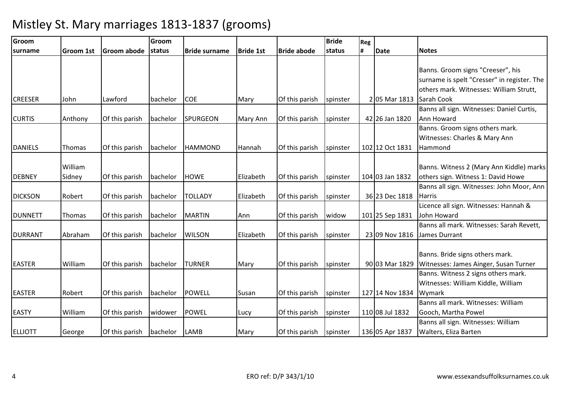| Groom          |                  |                    | Groom    |                      |                  |                    | <b>Bride</b> | Reg |                 |                                             |
|----------------|------------------|--------------------|----------|----------------------|------------------|--------------------|--------------|-----|-----------------|---------------------------------------------|
| surname        | <b>Groom 1st</b> | <b>Groom abode</b> | status   | <b>Bride surname</b> | <b>Bride 1st</b> | <b>Bride abode</b> | status       | #   | <b>Date</b>     | <b>Notes</b>                                |
|                |                  |                    |          |                      |                  |                    |              |     |                 |                                             |
|                |                  |                    |          |                      |                  |                    |              |     |                 | Banns. Groom signs "Creeser", his           |
|                |                  |                    |          |                      |                  |                    |              |     |                 | surname is spelt "Cresser" in register. The |
|                |                  |                    |          |                      |                  |                    |              |     |                 | others mark. Witnesses: William Strutt,     |
| <b>CREESER</b> | John             | Lawford            | bachelor | <b>COE</b>           | Mary             | Of this parish     | spinster     |     | 2 05 Mar 1813   | Sarah Cook                                  |
|                |                  |                    |          |                      |                  |                    |              |     |                 | Banns all sign. Witnesses: Daniel Curtis,   |
| <b>CURTIS</b>  | Anthony          | Of this parish     | bachelor | SPURGEON             | Mary Ann         | Of this parish     | spinster     |     | 42 26 Jan 1820  | Ann Howard                                  |
|                |                  |                    |          |                      |                  |                    |              |     |                 | Banns. Groom signs others mark.             |
|                |                  |                    |          |                      |                  |                    |              |     |                 | Witnesses: Charles & Mary Ann               |
| <b>DANIELS</b> | Thomas           | Of this parish     | bachelor | <b>HAMMOND</b>       | Hannah           | Of this parish     | spinster     |     | 102 12 Oct 1831 | Hammond                                     |
|                |                  |                    |          |                      |                  |                    |              |     |                 |                                             |
|                | William          |                    |          |                      |                  |                    |              |     |                 | Banns. Witness 2 (Mary Ann Kiddle) marks    |
| <b>DEBNEY</b>  | Sidney           | Of this parish     | bachelor | <b>HOWE</b>          | Elizabeth        | Of this parish     | spinster     |     | 104 03 Jan 1832 | others sign. Witness 1: David Howe          |
|                |                  |                    |          |                      |                  |                    |              |     |                 | Banns all sign. Witnesses: John Moor, Ann   |
| <b>DICKSON</b> | Robert           | Of this parish     | bachelor | <b>TOLLADY</b>       | Elizabeth        | Of this parish     | spinster     |     | 36 23 Dec 1818  | <b>Harris</b>                               |
|                |                  |                    |          |                      |                  |                    |              |     |                 | Licence all sign. Witnesses: Hannah &       |
| <b>DUNNETT</b> | Thomas           | Of this parish     | bachelor | <b>MARTIN</b>        | Ann              | Of this parish     | widow        |     | 101 25 Sep 1831 | John Howard                                 |
|                |                  |                    |          |                      |                  |                    |              |     |                 | Banns all mark. Witnesses: Sarah Revett,    |
| <b>DURRANT</b> | Abraham          | Of this parish     | bachelor | <b>WILSON</b>        | Elizabeth        | Of this parish     | spinster     |     | 23 09 Nov 1816  | James Durrant                               |
|                |                  |                    |          |                      |                  |                    |              |     |                 |                                             |
|                |                  |                    |          |                      |                  |                    |              |     |                 | Banns. Bride signs others mark.             |
| <b>EASTER</b>  | William          | Of this parish     | bachelor | <b>TURNER</b>        | Mary             | Of this parish     | spinster     |     | 90 03 Mar 1829  | Witnesses: James Ainger, Susan Turner       |
|                |                  |                    |          |                      |                  |                    |              |     |                 | Banns. Witness 2 signs others mark.         |
|                |                  |                    |          |                      |                  |                    |              |     |                 | Witnesses: William Kiddle, William          |
| <b>EASTER</b>  | Robert           | Of this parish     | bachelor | <b>POWELL</b>        | Susan            | Of this parish     | spinster     |     | 127 14 Nov 1834 | Wymark                                      |
|                |                  |                    |          |                      |                  |                    |              |     |                 | Banns all mark. Witnesses: William          |
| <b>EASTY</b>   | William          | Of this parish     | widower  | <b>POWEL</b>         | Lucy             | Of this parish     | spinster     |     | 110 08 Jul 1832 | Gooch, Martha Powel                         |
|                |                  |                    |          |                      |                  |                    |              |     |                 | Banns all sign. Witnesses: William          |
| <b>ELLIOTT</b> | George           | Of this parish     | bachelor | <b>LAMB</b>          | Mary             | Of this parish     | spinster     |     | 136 05 Apr 1837 | <b>Walters, Eliza Barten</b>                |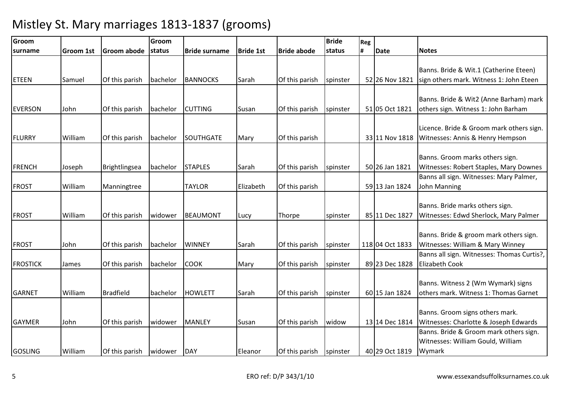| Groom           |                  |                  | Groom    |                      |                  |                    | <b>Bride</b> | Reg |                 |                                                                                       |
|-----------------|------------------|------------------|----------|----------------------|------------------|--------------------|--------------|-----|-----------------|---------------------------------------------------------------------------------------|
| <b>Isurname</b> | <b>Groom 1st</b> | Groom abode      | status   | <b>Bride surname</b> | <b>Bride 1st</b> | <b>Bride abode</b> | status       | #   | <b>Date</b>     | <b>Notes</b>                                                                          |
| <b>ETEEN</b>    | Samuel           | Of this parish   | bachelor | <b>BANNOCKS</b>      | Sarah            | Of this parish     | spinster     |     | 52 26 Nov 1821  | Banns. Bride & Wit.1 (Catherine Eteen)<br>sign others mark. Witness 1: John Eteen     |
| <b>EVERSON</b>  | John             | Of this parish   | bachelor | <b>CUTTING</b>       | Susan            | Of this parish     | spinster     |     | 51 05 Oct 1821  | Banns. Bride & Wit2 (Anne Barham) mark<br>others sign. Witness 1: John Barham         |
| <b>FLURRY</b>   | William          | Of this parish   | bachelor | SOUTHGATE            | Mary             | Of this parish     |              |     | 33 11 Nov 1818  | Licence. Bride & Groom mark others sign.<br>Witnesses: Annis & Henry Hempson          |
| <b>FRENCH</b>   | Joseph           | Brightlingsea    | bachelor | <b>STAPLES</b>       | Sarah            | Of this parish     | spinster     |     | 50 26 Jan 1821  | Banns. Groom marks others sign.<br>Witnesses: Robert Staples, Mary Downes             |
| <b>FROST</b>    | William          | Manningtree      |          | <b>TAYLOR</b>        | Elizabeth        | Of this parish     |              |     | 59 13 Jan 1824  | Banns all sign. Witnesses: Mary Palmer,<br>John Manning                               |
| <b>FROST</b>    | William          | Of this parish   | widower  | <b>BEAUMONT</b>      | Lucy             | Thorpe             | spinster     |     | 85 11 Dec 1827  | Banns. Bride marks others sign.<br>Witnesses: Edwd Sherlock, Mary Palmer              |
| <b>FROST</b>    | John             | Of this parish   | bachelor | <b>WINNEY</b>        | Sarah            | Of this parish     | spinster     |     | 118 04 Oct 1833 | Banns. Bride & groom mark others sign.<br>Witnesses: William & Mary Winney            |
| <b>FROSTICK</b> | James            | Of this parish   | bachelor | <b>COOK</b>          | Mary             | Of this parish     | spinster     |     | 89 23 Dec 1828  | Banns all sign. Witnesses: Thomas Curtis?,<br><b>Elizabeth Cook</b>                   |
| <b>GARNET</b>   | William          | <b>Bradfield</b> | bachelor | <b>HOWLETT</b>       | Sarah            | Of this parish     | spinster     |     | 60 15 Jan 1824  | Banns. Witness 2 (Wm Wymark) signs<br>others mark. Witness 1: Thomas Garnet           |
| <b>GAYMER</b>   | John             | Of this parish   | widower  | <b>MANLEY</b>        | Susan            | Of this parish     | widow        |     | 13 14 Dec 1814  | Banns. Groom signs others mark.<br>Witnesses: Charlotte & Joseph Edwards              |
| <b>GOSLING</b>  | William          | Of this parish   | widower  | DAY                  | Eleanor          | Of this parish     | spinster     |     | 40 29 Oct 1819  | Banns. Bride & Groom mark others sign.<br>Witnesses: William Gould, William<br>Wymark |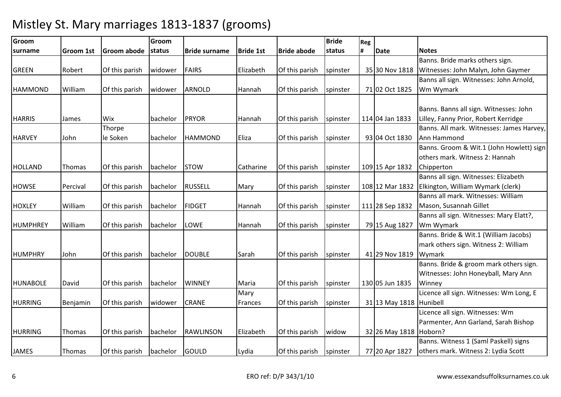| Groom           |                  |                | Groom    |                      |                  |                    | <b>Bride</b> | Reg |                          |                                           |
|-----------------|------------------|----------------|----------|----------------------|------------------|--------------------|--------------|-----|--------------------------|-------------------------------------------|
| <b>surname</b>  | <b>Groom 1st</b> | Groom abode    | status   | <b>Bride surname</b> | <b>Bride 1st</b> | <b>Bride abode</b> | status       | #   | <b>Date</b>              | <b>Notes</b>                              |
|                 |                  |                |          |                      |                  |                    |              |     |                          | Banns. Bride marks others sign.           |
| <b>GREEN</b>    | Robert           | Of this parish | widower  | <b>FAIRS</b>         | Elizabeth        | Of this parish     | spinster     |     | 35 30 Nov 1818           | Witnesses: John Malyn, John Gaymer        |
|                 |                  |                |          |                      |                  |                    |              |     |                          | Banns all sign. Witnesses: John Arnold,   |
| <b>HAMMOND</b>  | William          | Of this parish | widower  | <b>ARNOLD</b>        | Hannah           | Of this parish     | spinster     |     | 71 02 Oct 1825           | Wm Wymark                                 |
|                 |                  |                |          |                      |                  |                    |              |     |                          |                                           |
|                 |                  |                |          |                      |                  |                    |              |     |                          | Banns. Banns all sign. Witnesses: John    |
| <b>HARRIS</b>   | James            | Wix            | bachelor | PRYOR                | Hannah           | Of this parish     | spinster     |     | 114 04 Jan 1833          | Lilley, Fanny Prior, Robert Kerridge      |
|                 |                  | Thorpe         |          |                      |                  |                    |              |     |                          | Banns. All mark. Witnesses: James Harvey, |
| <b>HARVEY</b>   | John             | le Soken       | bachelor | <b>HAMMOND</b>       | Eliza            | Of this parish     | spinster     |     | 93 04 Oct 1830           | Ann Hammond                               |
|                 |                  |                |          |                      |                  |                    |              |     |                          | Banns. Groom & Wit.1 (John Howlett) sign  |
|                 |                  |                |          |                      |                  |                    |              |     |                          | others mark. Witness 2: Hannah            |
| <b>HOLLAND</b>  | Thomas           | Of this parish | bachelor | <b>STOW</b>          | Catharine        | Of this parish     | spinster     |     | 109 15 Apr 1832          | Chipperton                                |
|                 |                  |                |          |                      |                  |                    |              |     |                          | Banns all sign. Witnesses: Elizabeth      |
| <b>HOWSE</b>    | Percival         | Of this parish | bachelor | <b>RUSSELL</b>       | Mary             | Of this parish     | spinster     |     | 108 12 Mar 1832          | Elkington, William Wymark (clerk)         |
|                 |                  |                |          |                      |                  |                    |              |     |                          | Banns all mark. Witnesses: William        |
| <b>HOXLEY</b>   | William          | Of this parish | bachelor | <b>FIDGET</b>        | Hannah           | Of this parish     | spinster     |     | 111 28 Sep 1832          | Mason, Susannah Gillet                    |
|                 |                  |                |          |                      |                  |                    |              |     |                          | Banns all sign. Witnesses: Mary Elatt?,   |
| HUMPHREY        | William          | Of this parish | bachelor | <b>LOWE</b>          | Hannah           | Of this parish     | spinster     |     | 79 15 Aug 1827           | Wm Wymark                                 |
|                 |                  |                |          |                      |                  |                    |              |     |                          | Banns. Bride & Wit.1 (William Jacobs)     |
|                 |                  |                |          |                      |                  |                    |              |     |                          | mark others sign. Witness 2: William      |
| <b>HUMPHRY</b>  | John             | Of this parish | bachelor | <b>DOUBLE</b>        | Sarah            | Of this parish     | spinster     |     | 41 29 Nov 1819           | Wymark                                    |
|                 |                  |                |          |                      |                  |                    |              |     |                          | Banns. Bride & groom mark others sign.    |
|                 |                  |                |          |                      |                  |                    |              |     |                          | Witnesses: John Honeyball, Mary Ann       |
| <b>HUNABOLE</b> | David            | Of this parish | bachelor | <b>WINNEY</b>        | Maria            | Of this parish     | spinster     |     | 130 05 Jun 1835          | Winney                                    |
|                 |                  |                |          |                      | Mary             |                    |              |     |                          | Licence all sign. Witnesses: Wm Long, E   |
| <b>HURRING</b>  | Benjamin         | Of this parish | widower  | <b>CRANE</b>         | Frances          | Of this parish     | spinster     |     | 31 13 May 1818 Hunibell  |                                           |
|                 |                  |                |          |                      |                  |                    |              |     |                          | Licence all sign. Witnesses: Wm           |
|                 |                  |                |          |                      |                  |                    |              |     |                          | Parmenter, Ann Garland, Sarah Bishop      |
| <b>HURRING</b>  | Thomas           | Of this parish | bachelor | <b>RAWLINSON</b>     | Elizabeth        | Of this parish     | widow        |     | 32 26 May 1818   Hoborn? |                                           |
|                 |                  |                |          |                      |                  |                    |              |     |                          | Banns. Witness 1 (Saml Paskell) signs     |
| <b>JAMES</b>    | Thomas           | Of this parish | bachelor | <b>GOULD</b>         | Lydia            | Of this parish     | spinster     |     | 77 20 Apr 1827           | others mark. Witness 2: Lydia Scott       |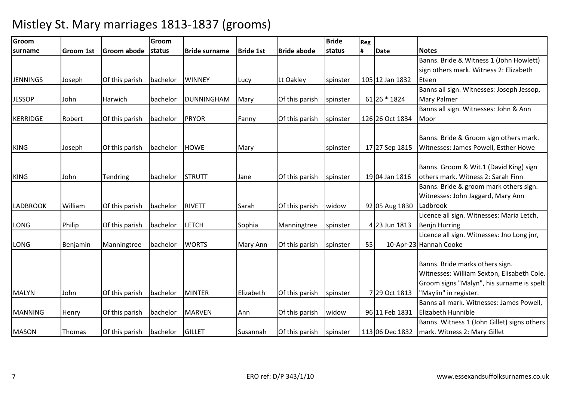| Groom           |                  |                | Groom    |                      |                  |                    | <b>Bride</b> | Reg |                 |                                             |
|-----------------|------------------|----------------|----------|----------------------|------------------|--------------------|--------------|-----|-----------------|---------------------------------------------|
| surname         | <b>Groom 1st</b> | Groom abode    | status   | <b>Bride surname</b> | <b>Bride 1st</b> | <b>Bride abode</b> | status       | #   | <b>Date</b>     | <b>Notes</b>                                |
|                 |                  |                |          |                      |                  |                    |              |     |                 | Banns. Bride & Witness 1 (John Howlett)     |
|                 |                  |                |          |                      |                  |                    |              |     |                 | sign others mark. Witness 2: Elizabeth      |
| <b>JENNINGS</b> | Joseph           | Of this parish | bachelor | <b>WINNEY</b>        | Lucy             | Lt Oakley          | spinster     |     | 105 12 Jan 1832 | Eteen                                       |
|                 |                  |                |          |                      |                  |                    |              |     |                 | Banns all sign. Witnesses: Joseph Jessop,   |
| <b>JESSOP</b>   | John             | Harwich        | bachelor | <b>DUNNINGHAM</b>    | Mary             | Of this parish     | spinster     |     | 61 26 * 1824    | <b>Mary Palmer</b>                          |
|                 |                  |                |          |                      |                  |                    |              |     |                 | Banns all sign. Witnesses: John & Ann       |
| <b>KERRIDGE</b> | Robert           | Of this parish | bachelor | <b>PRYOR</b>         | Fanny            | Of this parish     | spinster     |     | 126 26 Oct 1834 | Moor                                        |
|                 |                  |                |          |                      |                  |                    |              |     |                 |                                             |
|                 |                  |                |          |                      |                  |                    |              |     |                 | Banns. Bride & Groom sign others mark.      |
| <b>KING</b>     | Joseph           | Of this parish | bachelor | <b>HOWE</b>          | Mary             |                    | spinster     |     | 17 27 Sep 1815  | Witnesses: James Powell, Esther Howe        |
|                 |                  |                |          |                      |                  |                    |              |     |                 |                                             |
|                 |                  |                |          |                      |                  |                    |              |     |                 | Banns. Groom & Wit.1 (David King) sign      |
| <b>KING</b>     | John             | Tendring       | bachelor | <b>STRUTT</b>        | Jane             | Of this parish     | spinster     |     | 19 04 Jan 1816  | others mark. Witness 2: Sarah Finn          |
|                 |                  |                |          |                      |                  |                    |              |     |                 | Banns. Bride & groom mark others sign.      |
|                 |                  |                |          |                      |                  |                    |              |     |                 | Witnesses: John Jaggard, Mary Ann           |
| <b>LADBROOK</b> | William          | Of this parish | bachelor | <b>RIVETT</b>        | Sarah            | Of this parish     | widow        |     | 92 05 Aug 1830  | Ladbrook                                    |
|                 |                  |                |          |                      |                  |                    |              |     |                 | Licence all sign. Witnesses: Maria Letch,   |
| <b>LONG</b>     | Philip           | Of this parish | bachelor | <b>LETCH</b>         | Sophia           | Manningtree        | spinster     |     | 4 23 Jun 1813   | <b>Benjn Hurring</b>                        |
|                 |                  |                |          |                      |                  |                    |              |     |                 | Licence all sign. Witnesses: Jno Long jnr,  |
| <b>LONG</b>     | Benjamin         | Manningtree    | bachelor | <b>WORTS</b>         | Mary Ann         | Of this parish     | spinster     | 55  |                 | 10-Apr-23 Hannah Cooke                      |
|                 |                  |                |          |                      |                  |                    |              |     |                 |                                             |
|                 |                  |                |          |                      |                  |                    |              |     |                 | Banns. Bride marks others sign.             |
|                 |                  |                |          |                      |                  |                    |              |     |                 | Witnesses: William Sexton, Elisabeth Cole.  |
|                 |                  |                |          |                      |                  |                    |              |     |                 | Groom signs "Malyn", his surname is spelt   |
| <b>MALYN</b>    | John             | Of this parish | bachelor | <b>MINTER</b>        | Elizabeth        | Of this parish     | spinster     |     | 7 29 Oct 1813   | "Maylin" in register.                       |
|                 |                  |                |          |                      |                  |                    |              |     |                 | Banns all mark. Witnesses: James Powell,    |
| <b>MANNING</b>  | Henry            | Of this parish | bachelor | <b>MARVEN</b>        | Ann              | Of this parish     | widow        |     | 96 11 Feb 1831  | Elizabeth Hunnible                          |
|                 |                  |                |          |                      |                  |                    |              |     |                 | Banns. Witness 1 (John Gillet) signs others |
| <b>MASON</b>    | Thomas           | Of this parish | bachelor | <b>GILLET</b>        | Susannah         | Of this parish     | spinster     |     | 113 06 Dec 1832 | mark. Witness 2: Mary Gillet                |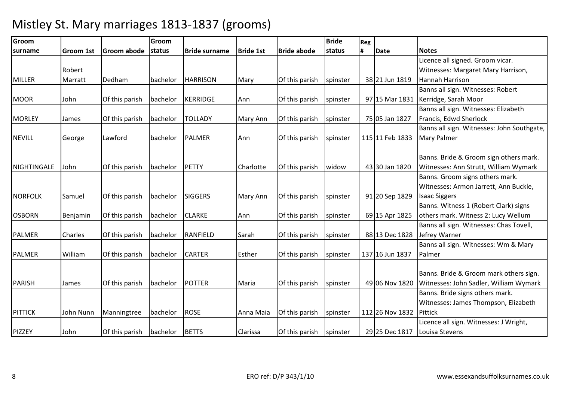| Groom          |                  |                | Groom    |                      |                  |                    | <b>Bride</b> | Reg |                 |                                            |
|----------------|------------------|----------------|----------|----------------------|------------------|--------------------|--------------|-----|-----------------|--------------------------------------------|
| surname        | <b>Groom 1st</b> | Groom abode    | status   | <b>Bride surname</b> | <b>Bride 1st</b> | <b>Bride abode</b> | status       | #   | <b>Date</b>     | <b>Notes</b>                               |
|                |                  |                |          |                      |                  |                    |              |     |                 | Licence all signed. Groom vicar.           |
|                | Robert           |                |          |                      |                  |                    |              |     |                 | Witnesses: Margaret Mary Harrison,         |
| <b>MILLER</b>  | Marratt          | Dedham         | bachelor | <b>HARRISON</b>      | Mary             | Of this parish     | spinster     |     | 38 21 Jun 1819  | Hannah Harrison                            |
|                |                  |                |          |                      |                  |                    |              |     |                 | Banns all sign. Witnesses: Robert          |
| <b>MOOR</b>    | John             | Of this parish | bachelor | KERRIDGE             | Ann              | Of this parish     | spinster     |     |                 | 97 15 Mar 1831 Kerridge, Sarah Moor        |
|                |                  |                |          |                      |                  |                    |              |     |                 | Banns all sign. Witnesses: Elizabeth       |
| <b>MORLEY</b>  | James            | Of this parish | bachelor | <b>TOLLADY</b>       | <b>Mary Ann</b>  | Of this parish     | spinster     |     | 75 05 Jan 1827  | Francis, Edwd Sherlock                     |
|                |                  |                |          |                      |                  |                    |              |     |                 | Banns all sign. Witnesses: John Southgate, |
| <b>NEVILL</b>  | George           | Lawford        | bachelor | <b>PALMER</b>        | Ann              | Of this parish     | spinster     |     | 115 11 Feb 1833 | <b>Mary Palmer</b>                         |
|                |                  |                |          |                      |                  |                    |              |     |                 |                                            |
|                |                  |                |          |                      |                  |                    |              |     |                 | Banns. Bride & Groom sign others mark.     |
| NIGHTINGALE    | John             | Of this parish | bachelor | <b>PETTY</b>         | Charlotte        | Of this parish     | widow        |     | 43 30 Jan 1820  | Witnesses: Ann Strutt, William Wymark      |
|                |                  |                |          |                      |                  |                    |              |     |                 | Banns. Groom signs others mark.            |
|                |                  |                |          |                      |                  |                    |              |     |                 | Witnesses: Armon Jarrett, Ann Buckle,      |
| <b>NORFOLK</b> | Samuel           | Of this parish | bachelor | <b>SIGGERS</b>       | <b>Mary Ann</b>  | Of this parish     | spinster     |     | 91 20 Sep 1829  | <b>Isaac Siggers</b>                       |
|                |                  |                |          |                      |                  |                    |              |     |                 | Banns. Witness 1 (Robert Clark) signs      |
| <b>OSBORN</b>  | Benjamin         | Of this parish | bachelor | <b>CLARKE</b>        | Ann              | Of this parish     | spinster     |     | 69 15 Apr 1825  | others mark. Witness 2: Lucy Wellum        |
|                |                  |                |          |                      |                  |                    |              |     |                 | Banns all sign. Witnesses: Chas Tovell,    |
| <b>PALMER</b>  | Charles          | Of this parish | bachelor | RANFIELD             | Sarah            | Of this parish     | spinster     |     | 88 13 Dec 1828  | Jefrey Warner                              |
|                |                  |                |          |                      |                  |                    |              |     |                 | Banns all sign. Witnesses: Wm & Mary       |
| PALMER         | William          | Of this parish | bachelor | <b>CARTER</b>        | Esther           | Of this parish     | spinster     |     | 137 16 Jun 1837 | Palmer                                     |
|                |                  |                |          |                      |                  |                    |              |     |                 |                                            |
|                |                  |                |          |                      |                  |                    |              |     |                 | Banns. Bride & Groom mark others sign.     |
| <b>PARISH</b>  | James            | Of this parish | bachelor | <b>POTTER</b>        | Maria            | Of this parish     | spinster     |     | 49 06 Nov 1820  | Witnesses: John Sadler, William Wymark     |
|                |                  |                |          |                      |                  |                    |              |     |                 | Banns. Bride signs others mark.            |
|                |                  |                |          |                      |                  |                    |              |     |                 | Witnesses: James Thompson, Elizabeth       |
| <b>PITTICK</b> | John Nunn        | Manningtree    | bachelor | <b>ROSE</b>          | Anna Maia        | Of this parish     | spinster     |     | 112 26 Nov 1832 | Pittick                                    |
|                |                  |                |          |                      |                  |                    |              |     |                 | Licence all sign. Witnesses: J Wright,     |
| <b>PIZZEY</b>  | John             | Of this parish | bachelor | <b>BETTS</b>         | Clarissa         | Of this parish     | spinster     |     | 29 25 Dec 1817  | Louisa Stevens                             |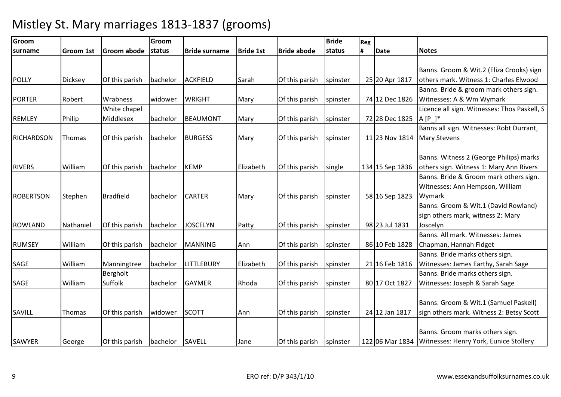| Groom             |                  |                  | Groom           |                      |                  |                    | <b>Bride</b> | Reg |                 |                                              |
|-------------------|------------------|------------------|-----------------|----------------------|------------------|--------------------|--------------|-----|-----------------|----------------------------------------------|
| surname           | <b>Groom 1st</b> | Groom abode      | status          | <b>Bride surname</b> | <b>Bride 1st</b> | <b>Bride abode</b> | status       | #   | <b>Date</b>     | <b>Notes</b>                                 |
|                   |                  |                  |                 |                      |                  |                    |              |     |                 |                                              |
|                   |                  |                  |                 |                      |                  |                    |              |     |                 | Banns. Groom & Wit.2 (Eliza Crooks) sign     |
| <b>POLLY</b>      | <b>Dicksey</b>   | Of this parish   | bachelor        | <b>ACKFIELD</b>      | Sarah            | Of this parish     | spinster     |     | 25 20 Apr 1817  | others mark. Witness 1: Charles Elwood       |
|                   |                  |                  |                 |                      |                  |                    |              |     |                 | Banns. Bride & groom mark others sign.       |
| <b>PORTER</b>     | Robert           | Wrabness         | widower         | <b>WRIGHT</b>        | Mary             | Of this parish     | spinster     |     | 74 12 Dec 1826  | Witnesses: A & Wm Wymark                     |
|                   |                  | White chapel     |                 |                      |                  |                    |              |     |                 | Licence all sign. Witnesses: Thos Paskell, S |
| <b>REMLEY</b>     | Philip           | Middlesex        | bachelor        | <b>BEAUMONT</b>      | Mary             | Of this parish     | spinster     |     | 72 28 Dec 1825  | $A [P_$                                      |
|                   |                  |                  |                 |                      |                  |                    |              |     |                 | Banns all sign. Witnesses: Robt Durrant,     |
| <b>RICHARDSON</b> | Thomas           | Of this parish   | bachelor        | <b>BURGESS</b>       | Mary             | Of this parish     | spinster     |     | 11 23 Nov 1814  | <b>Mary Stevens</b>                          |
|                   |                  |                  |                 |                      |                  |                    |              |     |                 |                                              |
|                   |                  |                  |                 |                      |                  |                    |              |     |                 | Banns. Witness 2 (George Philips) marks      |
| <b>RIVERS</b>     | William          | Of this parish   | bachelor        | <b>KEMP</b>          | Elizabeth        | Of this parish     | single       |     | 134 15 Sep 1836 | others sign. Witness 1: Mary Ann Rivers      |
|                   |                  |                  |                 |                      |                  |                    |              |     |                 | Banns. Bride & Groom mark others sign.       |
|                   |                  |                  |                 |                      |                  |                    |              |     |                 | Witnesses: Ann Hempson, William              |
| ROBERTSON         | Stephen          | <b>Bradfield</b> | bachelor        | <b>CARTER</b>        | Mary             | Of this parish     | spinster     |     | 58 16 Sep 1823  | Wymark                                       |
|                   |                  |                  |                 |                      |                  |                    |              |     |                 | Banns. Groom & Wit.1 (David Rowland)         |
|                   |                  |                  |                 |                      |                  |                    |              |     |                 | sign others mark, witness 2: Mary            |
| <b>ROWLAND</b>    | Nathaniel        | Of this parish   | bachelor        | <b>JOSCELYN</b>      | Patty            | Of this parish     | spinster     |     | 98 23 Jul 1831  | Joscelyn                                     |
|                   |                  |                  |                 |                      |                  |                    |              |     |                 | Banns, All mark, Witnesses: James            |
| <b>RUMSEY</b>     | William          | Of this parish   | bachelor        | <b>MANNING</b>       | Ann              | Of this parish     | spinster     |     | 86 10 Feb 1828  | Chapman, Hannah Fidget                       |
|                   |                  |                  |                 |                      |                  |                    |              |     |                 | Banns. Bride marks others sign.              |
| SAGE              | William          | Manningtree      | bachelor        | <b>LITTLEBURY</b>    | Elizabeth        | Of this parish     | spinster     |     | 21 16 Feb 1816  | Witnesses: James Earthy, Sarah Sage          |
|                   |                  | Bergholt         |                 |                      |                  |                    |              |     |                 | Banns. Bride marks others sign.              |
| SAGE              | William          | Suffolk          | bachelor        | <b>GAYMER</b>        | Rhoda            | Of this parish     | spinster     |     | 80 17 Oct 1827  | Witnesses: Joseph & Sarah Sage               |
|                   |                  |                  |                 |                      |                  |                    |              |     |                 |                                              |
|                   |                  |                  |                 |                      |                  |                    |              |     |                 | Banns. Groom & Wit.1 (Samuel Paskell)        |
| SAVILL            | Thomas           | Of this parish   | widower         | <b>SCOTT</b>         | Ann              | Of this parish     | spinster     |     | 24 12 Jan 1817  | sign others mark. Witness 2: Betsy Scott     |
|                   |                  |                  |                 |                      |                  |                    |              |     |                 |                                              |
|                   |                  |                  |                 |                      |                  |                    |              |     |                 | Banns. Groom marks others sign.              |
| <b>SAWYER</b>     | George           | Of this parish   | bachelor SAVELL |                      | Jane             | Of this parish     | spinster     |     | 122 06 Mar 1834 | Witnesses: Henry York, Eunice Stollery       |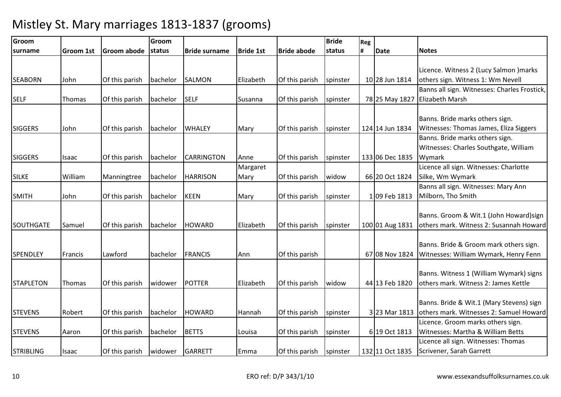| Groom            |                  |                | Groom    |                      |                  |                    | <b>Bride</b> | Reg |                 |                                                                                                                          |
|------------------|------------------|----------------|----------|----------------------|------------------|--------------------|--------------|-----|-----------------|--------------------------------------------------------------------------------------------------------------------------|
| surname          | <b>Groom 1st</b> | Groom abode    | status   | <b>Bride surname</b> | <b>Bride 1st</b> | <b>Bride abode</b> | status       | #   | Date            | <b>Notes</b>                                                                                                             |
| <b>SEABORN</b>   | John             | Of this parish | bachelor | <b>SALMON</b>        | Elizabeth        | Of this parish     | spinster     |     | 10 28 Jun 1814  | Licence. Witness 2 (Lucy Salmon ) marks<br>others sign. Witness 1: Wm Nevell                                             |
| <b>SELF</b>      | Thomas           | Of this parish | bachelor | <b>SELF</b>          | Susanna          | Of this parish     | spinster     |     | 78 25 May 1827  | Banns all sign. Witnesses: Charles Frostick,<br><b>Elizabeth Marsh</b>                                                   |
| <b>SIGGERS</b>   | John             | Of this parish | bachelor | <b>WHALEY</b>        | Mary             | Of this parish     | spinster     |     | 124 14 Jun 1834 | Banns. Bride marks others sign.<br>Witnesses: Thomas James, Eliza Siggers                                                |
| <b>SIGGERS</b>   | Isaac            | Of this parish | bachelor | <b>CARRINGTON</b>    | Anne             | Of this parish     | spinster     |     | 133 06 Dec 1835 | Banns. Bride marks others sign.<br>Witnesses: Charles Southgate, William<br>Wymark                                       |
| <b>SILKE</b>     | William          | Manningtree    | bachelor | <b>HARRISON</b>      | Margaret<br>Mary | Of this parish     | widow        |     | 66 20 Oct 1824  | Licence all sign. Witnesses: Charlotte<br>Silke, Wm Wymark                                                               |
| <b>SMITH</b>     | John             | Of this parish | bachelor | <b>KEEN</b>          | Mary             | Of this parish     | spinster     |     | 1 09 Feb 1813   | Banns all sign. Witnesses: Mary Ann<br>Milborn, Tho Smith                                                                |
| <b>SOUTHGATE</b> | Samuel           | Of this parish | bachelor | <b>HOWARD</b>        | Elizabeth        | Of this parish     | spinster     |     | 100 01 Aug 1831 | Banns. Groom & Wit.1 (John Howard)sign<br>others mark. Witness 2: Susannah Howard                                        |
| <b>SPENDLEY</b>  | Francis          | Lawford        | bachelor | <b>FRANCIS</b>       | Ann              | Of this parish     |              |     | 67 08 Nov 1824  | Banns. Bride & Groom mark others sign.<br>Witnesses: William Wymark, Henry Fenn                                          |
| <b>STAPLETON</b> | Thomas           | Of this parish | widower  | <b>POTTER</b>        | Elizabeth        | Of this parish     | widow        |     | 44 13 Feb 1820  | Banns. Witness 1 (William Wymark) signs<br>others mark. Witness 2: James Kettle                                          |
| <b>STEVENS</b>   | Robert           | Of this parish | bachelor | <b>HOWARD</b>        | Hannah           | Of this parish     | spinster     |     | 3 23 Mar 1813   | Banns. Bride & Wit.1 (Mary Stevens) sign<br>others mark. Witnesses 2: Samuel Howard<br>Licence. Groom marks others sign. |
| <b>STEVENS</b>   | Aaron            | Of this parish | bachelor | <b>BETTS</b>         | Louisa           | Of this parish     | spinster     |     | 6 19 Oct 1813   | Witnesses: Martha & William Betts                                                                                        |
| <b>STRIBLING</b> | Isaac            | Of this parish | widower  | <b>GARRETT</b>       | Emma             | Of this parish     | spinster     |     | 132 11 Oct 1835 | Licence all sign. Witnesses: Thomas<br>Scrivener, Sarah Garrett                                                          |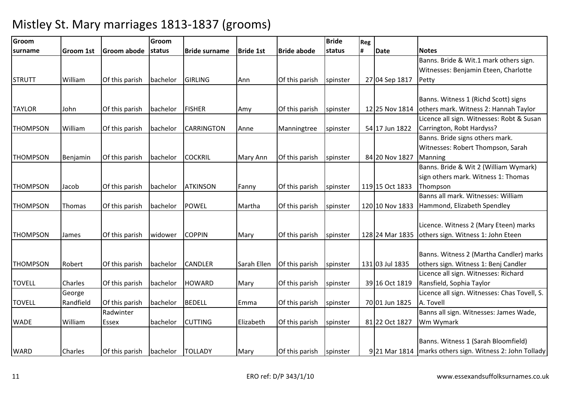| Groom           |                  |                | Groom    |                      |                  |                    | <b>Bride</b> | Reg |                 |                                                            |
|-----------------|------------------|----------------|----------|----------------------|------------------|--------------------|--------------|-----|-----------------|------------------------------------------------------------|
| surname         | <b>Groom 1st</b> | Groom abode    | status   | <b>Bride surname</b> | <b>Bride 1st</b> | <b>Bride abode</b> | status       | #   | <b>Date</b>     | <b>Notes</b>                                               |
|                 |                  |                |          |                      |                  |                    |              |     |                 | Banns. Bride & Wit.1 mark others sign.                     |
|                 |                  |                |          |                      |                  |                    |              |     |                 | Witnesses: Benjamin Eteen, Charlotte                       |
| <b>STRUTT</b>   | William          | Of this parish | bachelor | <b>GIRLING</b>       | Ann              | Of this parish     | spinster     |     | 27 04 Sep 1817  | Petty                                                      |
|                 |                  |                |          |                      |                  |                    |              |     |                 |                                                            |
|                 |                  |                |          |                      |                  |                    |              |     |                 | Banns. Witness 1 (Richd Scott) signs                       |
| <b>TAYLOR</b>   | John             | Of this parish | bachelor | <b>FISHER</b>        | Amy              | Of this parish     | spinster     |     | 12 25 Nov 1814  | others mark. Witness 2: Hannah Taylor                      |
|                 |                  |                |          |                      |                  |                    |              |     |                 | Licence all sign. Witnesses: Robt & Susan                  |
| THOMPSON        | William          | Of this parish | bachelor | <b>CARRINGTON</b>    | Anne             | Manningtree        | spinster     |     | 54 17 Jun 1822  | Carrington, Robt Hardyss?                                  |
|                 |                  |                |          |                      |                  |                    |              |     |                 | Banns. Bride signs others mark.                            |
|                 |                  |                |          |                      |                  |                    |              |     |                 | Witnesses: Robert Thompson, Sarah                          |
| <b>THOMPSON</b> | Benjamin         | Of this parish | bachelor | <b>COCKRIL</b>       | Mary Ann         | Of this parish     | spinster     |     | 84 20 Nov 1827  | Manning                                                    |
|                 |                  |                |          |                      |                  |                    |              |     |                 | Banns. Bride & Wit 2 (William Wymark)                      |
|                 |                  |                |          |                      |                  |                    |              |     |                 | sign others mark. Witness 1: Thomas                        |
| <b>THOMPSON</b> | Jacob            | Of this parish | bachelor | <b>ATKINSON</b>      | Fanny            | Of this parish     | spinster     |     | 119 15 Oct 1833 | Thompson                                                   |
|                 |                  |                |          |                      |                  |                    |              |     |                 | Banns all mark. Witnesses: William                         |
| <b>THOMPSON</b> | <b>Thomas</b>    | Of this parish | bachelor | <b>POWEL</b>         | Martha           | Of this parish     | spinster     |     | 120 10 Nov 1833 | Hammond, Elizabeth Spendley                                |
|                 |                  |                |          |                      |                  |                    |              |     |                 |                                                            |
|                 |                  |                |          |                      |                  |                    |              |     |                 | Licence. Witness 2 (Mary Eteen) marks                      |
| <b>THOMPSON</b> | James            | Of this parish | widower  | <b>COPPIN</b>        | Mary             | Of this parish     | spinster     |     | 128 24 Mar 1835 | others sign. Witness 1: John Eteen                         |
|                 |                  |                |          |                      |                  |                    |              |     |                 |                                                            |
|                 |                  |                |          |                      |                  |                    |              |     |                 | Banns. Witness 2 (Martha Candler) marks                    |
| <b>THOMPSON</b> | Robert           | Of this parish | bachelor | <b>CANDLER</b>       | Sarah Ellen      | Of this parish     | spinster     |     | 131 03 Jul 1835 | others sign. Witness 1: Benj Candler                       |
|                 |                  |                |          |                      |                  |                    |              |     |                 | Licence all sign. Witnesses: Richard                       |
| <b>TOVELL</b>   | Charles          | Of this parish | bachelor | <b>HOWARD</b>        | Mary             | Of this parish     | spinster     |     | 39 16 Oct 1819  | Ransfield, Sophia Taylor                                   |
|                 | George           |                |          |                      |                  |                    |              |     |                 | Licence all sign. Witnesses: Chas Tovell, S.               |
| <b>TOVELL</b>   | Randfield        | Of this parish | bachelor | <b>BEDELL</b>        | Emma             | Of this parish     | spinster     |     | 70 01 Jun 1825  | A. Tovell                                                  |
|                 |                  | Radwinter      |          |                      |                  |                    |              |     |                 | Banns all sign. Witnesses: James Wade,                     |
| <b>WADE</b>     | William          | <b>Essex</b>   | bachelor | <b>CUTTING</b>       | Elizabeth        | Of this parish     | spinster     |     | 81 22 Oct 1827  | Wm Wymark                                                  |
|                 |                  |                |          |                      |                  |                    |              |     |                 |                                                            |
|                 |                  |                |          |                      |                  |                    |              |     |                 | Banns. Witness 1 (Sarah Bloomfield)                        |
| <b>WARD</b>     | Charles          | Of this parish | bachelor | <b>TOLLADY</b>       | Mary             | Of this parish     | spinster     |     |                 | 9 21 Mar 1814   marks others sign. Witness 2: John Tollady |